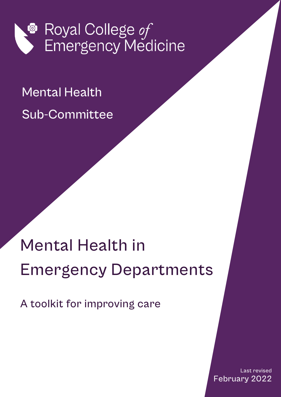

## Mental Health Sub-Committee

# Mental Health in Emergency Departments

A toolkit for improving care

Last revised February 2022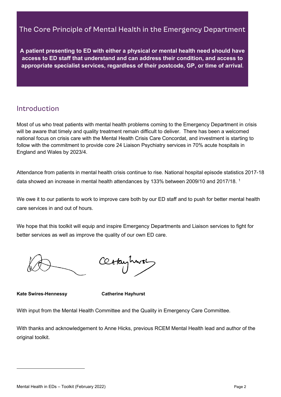## The Core Principle of Mental Health in the Emergency Department

**A patient presenting to ED with either a physical or mental health need should have access to ED staff that understand and can address their condition, and access to appropriate specialist services, regardless of their postcode, GP, or time of arrival.**

## <span id="page-1-1"></span>Introduction

Most of us who treat patients with mental health problems coming to the Emergency Department in crisis will be aware that timely and quality treatment remain difficult to deliver. There has been a welcomed national focus on crisis care with the Mental Health Crisis Care Concordat, and investment is starting to follow with the commitment to provide core 24 Liaison Psychiatry services in 70% acute hospitals in England and Wales by 2023/4.

Attendance from patients in mental health crisis continue to rise. National hospital episode statistics 2017-18 data showed an increase in mental health attendances by [1](#page-1-0)33% between 2009/10 and 2017/18. <sup>1</sup>

We owe it to our patients to work to improve care both by our ED staff and to push for better mental health care services in and out of hours.

We hope that this toolkit will equip and inspire Emergency Departments and Liaison services to fight for better services as well as improve the quality of our own ED care.

Certainmon

**Kate Swires-Hennessy Catherine Hayhurst**

With input from the Mental Health Committee and the Quality in Emergency Care Committee.

<span id="page-1-0"></span>With thanks and acknowledgement to Anne Hicks, previous RCEM Mental Health lead and author of the original toolkit.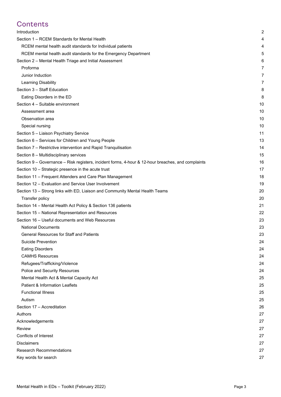## **Contents**

| Introduction                                                                                       | 2  |
|----------------------------------------------------------------------------------------------------|----|
| Section 1 – RCEM Standards for Mental Health                                                       | 4  |
| RCEM mental health audit standards for Individual patients                                         | 4  |
| RCEM mental health audit standards for the Emergency Department                                    | 5  |
| Section 2 - Mental Health Triage and Initial Assessment                                            | 6  |
| Proforma                                                                                           | 7  |
| Junior Induction                                                                                   | 7  |
| Learning Disability                                                                                | 7  |
| Section 3 - Staff Education                                                                        | 8  |
| Eating Disorders in the ED                                                                         | 8  |
| Section 4 - Suitable environment                                                                   | 10 |
| Assessment area                                                                                    | 10 |
| Observation area                                                                                   | 10 |
| Special nursing                                                                                    | 10 |
| Section 5 - Liaison Psychiatry Service                                                             | 11 |
| Section 6 - Services for Children and Young People                                                 | 13 |
| Section 7 - Restrictive intervention and Rapid Tranquilisation                                     | 14 |
| Section 8 - Multidisciplinary services                                                             | 15 |
| Section 9 – Governance – Risk registers, incident forms, 4-hour & 12-hour breaches, and complaints | 16 |
| Section 10 - Strategic presence in the acute trust                                                 | 17 |
| Section 11 - Frequent Attenders and Care Plan Management                                           | 18 |
| Section 12 - Evaluation and Service User Involvement                                               | 19 |
| Section 13 - Strong links with ED, Liaison and Community Mental Health Teams                       | 20 |
| Transfer policy                                                                                    | 20 |
| Section 14 - Mental Health Act Policy & Section 136 patients                                       | 21 |
| Section 15 - National Representation and Resources                                                 | 22 |
| Section 16 - Useful documents and Web Resources                                                    | 23 |
| <b>National Documents</b>                                                                          | 23 |
| General Resources for Staff and Patients                                                           | 23 |
| Suicide Prevention                                                                                 | 24 |
| <b>Eating Disorders</b>                                                                            | 24 |
| <b>CAMHS Resources</b>                                                                             | 24 |
| Refugees/Trafficking/Violence                                                                      | 24 |
| Police and Security Resources                                                                      | 24 |
| Mental Health Act & Mental Capacity Act                                                            | 25 |
| Patient & Information Leaflets                                                                     | 25 |
| <b>Functional Illness</b>                                                                          | 25 |
| Autism                                                                                             | 25 |
| Section 17 - Accreditation                                                                         | 26 |
| Authors                                                                                            | 27 |
| Acknowledgements                                                                                   | 27 |
| Review                                                                                             | 27 |
| <b>Conflicts of Interest</b>                                                                       | 27 |
| <b>Disclaimers</b>                                                                                 | 27 |
| <b>Research Recommendations</b>                                                                    | 27 |
| Key words for search                                                                               | 27 |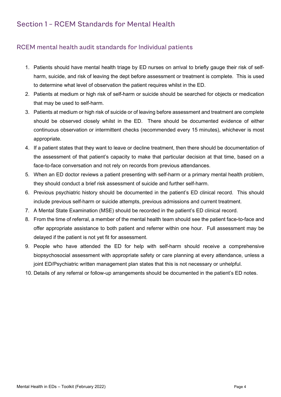## <span id="page-3-0"></span>Section 1 – RCEM Standards for Mental Health

#### <span id="page-3-1"></span>RCEM mental health audit standards for Individual patients

- 1. Patients should have mental health triage by ED nurses on arrival to briefly gauge their risk of selfharm, suicide, and risk of leaving the dept before assessment or treatment is complete. This is used to determine what level of observation the patient requires whilst in the ED.
- 2. Patients at medium or high risk of self-harm or suicide should be searched for objects or medication that may be used to self-harm.
- 3. Patients at medium or high risk of suicide or of leaving before assessment and treatment are complete should be observed closely whilst in the ED. There should be documented evidence of either continuous observation or intermittent checks (recommended every 15 minutes), whichever is most appropriate.
- 4. If a patient states that they want to leave or decline treatment, then there should be documentation of the assessment of that patient's capacity to make that particular decision at that time, based on a face-to-face conversation and not rely on records from previous attendances.
- 5. When an ED doctor reviews a patient presenting with self-harm or a primary mental health problem, they should conduct a brief risk assessment of suicide and further self-harm.
- 6. Previous psychiatric history should be documented in the patient's ED clinical record. This should include previous self-harm or suicide attempts, previous admissions and current treatment.
- 7. A Mental State Examination (MSE) should be recorded in the patient's ED clinical record.
- 8. From the time of referral, a member of the mental health team should see the patient face-to-face and offer appropriate assistance to both patient and referrer within one hour. Full assessment may be delayed if the patient is not yet fit for assessment.
- 9. People who have attended the ED for help with self-harm should receive a comprehensive biopsychosocial assessment with appropriate safety or care planning at every attendance, unless a joint ED/Psychiatric written management plan states that this is not necessary or unhelpful.
- 10. Details of any referral or follow-up arrangements should be documented in the patient's ED notes.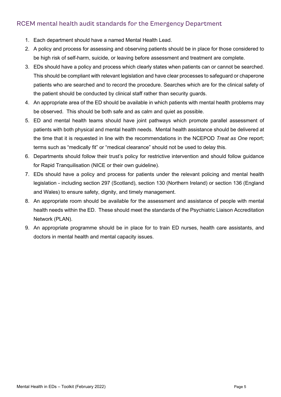### <span id="page-4-0"></span>RCEM mental health audit standards for the Emergency Department

- 1. Each department should have a named Mental Health Lead.
- 2. A policy and process for assessing and observing patients should be in place for those considered to be high risk of self-harm, suicide, or leaving before assessment and treatment are complete.
- 3. EDs should have a policy and process which clearly states when patients can or cannot be searched. This should be compliant with relevant legislation and have clear processes to safeguard or chaperone patients who are searched and to record the procedure. Searches which are for the clinical safety of the patient should be conducted by clinical staff rather than security guards.
- 4. An appropriate area of the ED should be available in which patients with mental health problems may be observed. This should be both safe and as calm and quiet as possible.
- 5. ED and mental health teams should have joint pathways which promote parallel assessment of patients with both physical and mental health needs. Mental health assistance should be delivered at the time that it is requested in line with the recommendations in the NCEPOD *Treat as One* report; terms such as "medically fit" or "medical clearance" should not be used to delay this.
- 6. Departments should follow their trust's policy for restrictive intervention and should follow guidance for Rapid Tranquilisation (NICE or their own guideline).
- 7. EDs should have a policy and process for patients under the relevant policing and mental health legislation - including section 297 (Scotland), section 130 (Northern Ireland) or section 136 (England and Wales) to ensure safety, dignity, and timely management.
- 8. An appropriate room should be available for the assessment and assistance of people with mental health needs within the ED. These should meet the standards of the Psychiatric Liaison Accreditation Network (PLAN).
- 9. An appropriate programme should be in place for to train ED nurses, health care assistants, and doctors in mental health and mental capacity issues.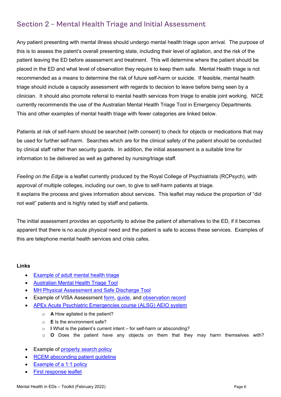## <span id="page-5-0"></span>Section 2 – Mental Health Triage and Initial Assessment

Any patient presenting with mental illness should undergo mental health triage upon arrival. The purpose of this is to assess the patent's overall presenting state, including their level of agitation, and the risk of the patient leaving the ED before assessment and treatment. This will determine where the patient should be placed in the ED and what level of observation they require to keep them safe. Mental Health triage is not recommended as a means to determine the risk of future self-harm or suicide. If feasible, mental health triage should include a capacity assessment with regards to decision to leave before being seen by a clinician. It should also promote referral to mental health services from triage to enable joint working. NICE currently recommends the use of the Australian Mental Health Triage Tool in Emergency Departments. This and other examples of mental health triage with fewer categories are linked below.

Patients at risk of self-harm should be searched (with consent) to check for objects or medications that may be used for further self-harm. Searches which are for the clinical safety of the patient should be conducted by clinical staff rather than security guards. In addition, the initial assessment is a suitable time for information to be delivered as well as gathered by nursing/triage staff.

*Feeling on the Edge* is a leaflet currently produced by the Royal College of Psychiatrists (RCPsych), with approval of multiple colleges, including our own, to give to self-harm patients at triage. It explains the process and gives information about services. This leaflet may reduce the proportion of "did not wait" patients and is highly rated by staff and patients.

The initial assessment provides an opportunity to advise the patient of alternatives to the ED, if it becomes apparent that there is no acute physical need and the patient is safe to access these services. Examples of this are telephone mental health services and crisis cafes.

- **[Example of adult mental health triage](http://login.rcem.ac.uk/docs/MH%20toolkit%202017/MH%20toolkit%20-%20Adult%20Mental%20Health%20Triage%20Risk%20Assessment.docx)**
- [Australian Mental Health Triage Tool](https://www1.health.gov.au/internet/publications/publishing.nsf/Content/triageqrg%7Etriageqrg-mh)
- **MH Physical Assessment and Safe Discharge Tool**
- **Example of VISA Assessment [form,](https://login.rcem.ac.uk/docs/RCEM%20Guidance/Derby%20VISA%20assessment%20form.pdf) quide, and [observation record](http://login.rcem.ac.uk/docs/RCEM%20Guidance/Derby%20MH%20observation%20record.pdf)**
- [APEx Acute Psychiatric Emergencies course \(ALSG\) AEIO system](https://www.alsg.org/en/files/XFactsheet.pdf)
	- o **A** How agitated is the patient?
	- o **E** Is the environment safe?
	- o **I** What is the patient's current intent for self-harm or absconding?
	- o **O** Does the patient have any objects on them that they may harm themselves with?
- **Example of [property search policy](https://login.rcem.ac.uk/docs/RCEM%20Guidance/search%20policy%20example.pdf)**
- **RCEM** absconding patient guideline
- **[Example of a 1:1 policy](http://login.rcem.ac.uk/docs/MH%20toolkit%202017/MH%20toolkit%20-%20Adult%201%20to%201%20Policy.docx)**
- [First response leaflet](http://login.rcem.ac.uk/docs/MH%20toolkit%202017/MH%20toolkit%20-%20First%20Response%20A5%20Leaflet.pdf)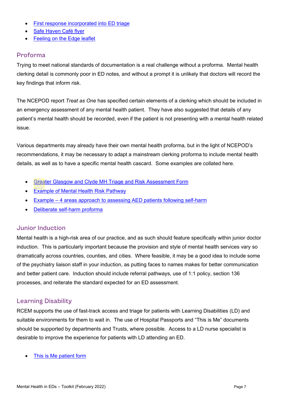- [First response incorporated into ED triage](http://login.rcem.ac.uk/docs/MH%20toolkit%202017/MH%20toolkit%20-%20ED%20pathway%20including%20first%20response.pptx)
- **[Safe Haven Café flyer](http://login.rcem.ac.uk/docs/MH%20toolkit%202017/MH%20toolkit%20-%20Safe%20Haven%20Poster.pdf)**
- **[Feeling on the Edge leaflet](http://www.rcpsych.ac.uk/healthadvice/problemsdisorders/feelingontheedge.aspx)**

#### <span id="page-6-0"></span>Proforma

Trying to meet national standards of documentation is a real challenge without a proforma. Mental health clerking detail is commonly poor in ED notes, and without a prompt it is unlikely that doctors will record the key findings that inform risk.

The NCEPOD report *Treat as One* has specified certain elements of a clerking which should be included in an emergency assessment of any mental health patient. They have also suggested that details of any patient's mental health should be recorded, even if the patient is not presenting with a mental health related issue.

Various departments may already have their own mental health proforma, but in the light of NCEPOD's recommendations, it may be necessary to adapt a mainstream clerking proforma to include mental health details, as well as to have a specific mental health cascard. Some examples are collated here.

- [Greater Glasgow and Clyde MH Triage and Risk Assessment Form](https://login.rcem.ac.uk/docs/Glasgow_MH_Triage_and_Risk_Assessment_Form.pdf)
- [Example of Mental Health Risk Pathway](http://login.rcem.ac.uk/docs/Mental%20Health%20pathway%20Wirral%202018.pdf)
- Example 4 areas [approach to assessing AED patients following self-harm](http://login.rcem.ac.uk/docs/MH%20toolkit%202017/4%20areas%20approach%20for%20assessing%20AED%20patients%20following%20self-harm.pdf)
- [Deliberate self-harm proforma](http://login.rcem.ac.uk/docs/MH%20toolkit%202017/MH%20toolkit%20-%20Deliberate%20Self%20Harm%20Proforma.doc)

#### <span id="page-6-1"></span>Junior Induction

Mental health is a high-risk area of our practice, and as such should feature specifically within junior doctor induction. This is particularly important because the provision and style of mental health services vary so dramatically across countries, counties, and cities. Where feasible, it may be a good idea to include some of the psychiatry liaison staff in your induction, as putting faces to names makes for better communication and better patient care. Induction should include referral pathways, use of 1:1 policy, section 136 processes, and reiterate the standard expected for an ED assessment.

#### <span id="page-6-2"></span>Learning Disability

RCEM supports the use of fast-track access and triage for patients with Learning Disabilities (LD) and suitable environments for them to wait in. The use of Hospital Passports and "This is Me" documents should be supported by departments and Trusts, where possible. Access to a LD nurse specialist is desirable to improve the experience for patients with LD attending an ED.

[This is Me patient form](https://login.rcem.ac.uk/docs/RCEM%20Guidance/This_is_Me.pdf)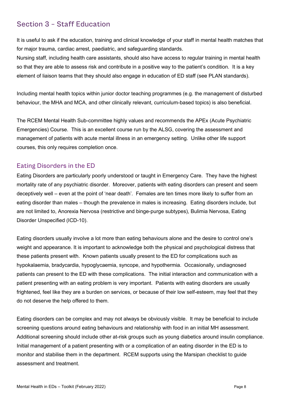## <span id="page-7-0"></span>Section 3 – Staff Education

It is useful to ask if the education, training and clinical knowledge of your staff in mental health matches that for major trauma, cardiac arrest, paediatric, and safeguarding standards.

Nursing staff, including health care assistants, should also have access to regular training in mental health so that they are able to assess risk and contribute in a positive way to the patient's condition. It is a key element of liaison teams that they should also engage in education of ED staff (see PLAN standards).

Including mental health topics within junior doctor teaching programmes (e.g. the management of disturbed behaviour, the MHA and MCA, and other clinically relevant, curriculum-based topics) is also beneficial.

The RCEM Mental Health Sub-committee highly values and recommends the APEx (Acute Psychiatric Emergencies) Course. This is an excellent course run by the ALSG, covering the assessment and management of patients with acute mental illness in an emergency setting. Unlike other life support courses, this only requires completion once.

#### <span id="page-7-1"></span>Eating Disorders in the ED

Eating Disorders are particularly poorly understood or taught in Emergency Care. They have the highest mortality rate of any psychiatric disorder. Moreover, patients with eating disorders can present and seem deceptively well – even at the point of 'near death'. Females are ten times more likely to suffer from an eating disorder than males – though the prevalence in males is increasing. Eating disorders include, but are not limited to, Anorexia Nervosa (restrictive and binge-purge subtypes), Bulimia Nervosa, Eating Disorder Unspecified (ICD-10).

Eating disorders usually involve a lot more than eating behaviours alone and the desire to control one's weight and appearance. It is important to acknowledge both the physical and psychological distress that these patients present with. Known patients usually present to the ED for complications such as hypokalaemia, bradycardia, hypoglycaemia, syncope, and hypothermia. Occasionally, undiagnosed patients can present to the ED with these complications. The initial interaction and communication with a patient presenting with an eating problem is very important. Patients with eating disorders are usually frightened, feel like they are a burden on services, or because of their low self-esteem, may feel that they do not deserve the help offered to them.

Eating disorders can be complex and may not always be obviously visible. It may be beneficial to include screening questions around eating behaviours and relationship with food in an initial MH assessment. Additional screening should include other at-risk groups such as young diabetics around insulin compliance. Initial management of a patient presenting with or a complication of an eating disorder in the ED is to monitor and stabilise them in the department. RCEM supports using the Marsipan checklist to guide assessment and treatment.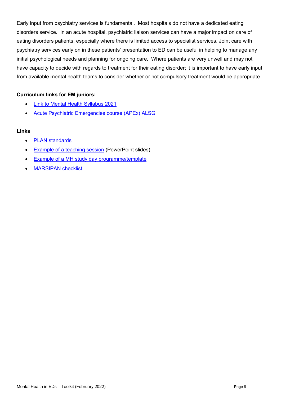Early input from psychiatry services is fundamental. Most hospitals do not have a dedicated eating disorders service. In an acute hospital, psychiatric liaison services can have a major impact on care of eating disorders patients, especially where there is limited access to specialist services. Joint care with psychiatry services early on in these patients' presentation to ED can be useful in helping to manage any initial psychological needs and planning for ongoing care. Where patients are very unwell and may not have capacity to decide with regards to treatment for their eating disorder; it is important to have early input from available mental health teams to consider whether or not compulsory treatment would be appropriate.

#### **Curriculum links for EM juniors:**

- [Link to Mental Health Syllabus 2021](https://eur01.safelinks.protection.outlook.com/?url=https%3A%2F%2Frcemcurriculum.co.uk%2Fthe-syllabus%2F%231554892723932-8ccd589b-91b9&data=04%7C01%7CAlison.Ives%40rcem.ac.uk%7C0359843394464e6eeef708d9e3353012%7C5e032e4ef2cf4ca58543e783c433b7ed%7C0%7C0%7C637790639907974680%7CUnknown%7CTWFpbGZsb3d8eyJWIjoiMC4wLjAwMDAiLCJQIjoiV2luMzIiLCJBTiI6Ik1haWwiLCJXVCI6Mn0%3D%7C3000&sdata=NxJHUr2JNbhjsHprmLJFeWDTWQd2hW3%2Bq%2BOezFwhk84%3D&reserved=0)
- [Acute Psychiatric Emergencies course \(APEx\) ALSG](https://www.alsg.org/en/files/XFactsheet.pdf)

- [PLAN standards](https://www.rcpsych.ac.uk/docs/default-source/improving-care/ccqi/quality-networks/psychiatric-liaison-services-plan/quality-standards-for-liaison-psychiatry-services---sixth-edition-20209b6be47cb0f249f697850e1222d6b6e1.pdf?sfvrsn=1ddd53f2_0)
- **[Example of a teaching session](http://login.rcem.ac.uk/docs/MH%20toolkit%202017/MH%20toolkit%20-%20Teaching%20Session%20MCA%20and%20MHA%20in%20the%20ED.pptx) (PowerPoint slides)**
- [Example of a MH study day programme/template](http://login.rcem.ac.uk/docs/MH%20toolkit%202017/MH%20toolkit%20-%20MH%20Study%20Day%20Programme%2017%20Oct%202016.docx)
- [MARSIPAN checklist](https://www.stgeorges.nhs.uk/wp-content/uploads/2018/03/MARSIPAN-.pdf)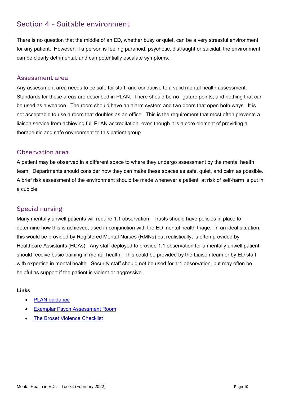## <span id="page-9-0"></span>Section 4 – Suitable environment

There is no question that the middle of an ED, whether busy or quiet, can be a very stressful environment for any patient. However, if a person is feeling paranoid, psychotic, distraught or suicidal, the environment can be clearly detrimental, and can potentially escalate symptoms.

#### <span id="page-9-1"></span>Assessment area

Any assessment area needs to be safe for staff, and conducive to a valid mental health assessment. Standards for these areas are described in PLAN. There should be no ligature points, and nothing that can be used as a weapon. The room should have an alarm system and two doors that open both ways. It is not acceptable to use a room that doubles as an office. This is the requirement that most often prevents a liaison service from achieving full PLAN accreditation, even though it is a core element of providing a therapeutic and safe environment to this patient group.

#### <span id="page-9-2"></span>Observation area

A patient may be observed in a different space to where they undergo assessment by the mental health team. Departments should consider how they can make these spaces as safe, quiet, and calm as possible. A brief risk assessment of the environment should be made whenever a patient at risk of self-harm is put in a cubicle.

#### <span id="page-9-3"></span>Special nursing

Many mentally unwell patients will require 1:1 observation. Trusts should have policies in place to determine how this is achieved, used in conjunction with the ED mental health triage. In an ideal situation, this would be provided by Registered Mental Nurses (RMNs) but realistically, is often provided by Healthcare Assistants (HCAs). Any staff deployed to provide 1:1 observation for a mentally unwell patient should receive basic training in mental health. This could be provided by the Liaison team or by ED staff with expertise in mental health. Security staff should not be used for 1:1 observation, but may often be helpful as support if the patient is violent or aggressive.

- [PLAN guidance](https://www.rcpsych.ac.uk/docs/default-source/improving-care/ccqi/quality-networks/psychiatric-liaison-services-plan/quality-standards-for-liaison-psychiatry-services---sixth-edition-20209b6be47cb0f249f697850e1222d6b6e1.pdf?sfvrsn=1ddd53f2_0)
- [Exemplar Psych Assessment Room](https://www.studiowill.co.uk/emergency-department)
- **[The Broset Violence Checklist](http://riskassessment.no/)**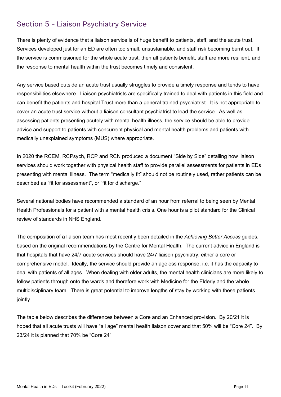## <span id="page-10-0"></span>Section 5 – Liaison Psychiatry Service

There is plenty of evidence that a liaison service is of huge benefit to patients, staff, and the acute trust. Services developed just for an ED are often too small, unsustainable, and staff risk becoming burnt out. If the service is commissioned for the whole acute trust, then all patients benefit, staff are more resilient, and the response to mental health within the trust becomes timely and consistent.

Any service based outside an acute trust usually struggles to provide a timely response and tends to have responsibilities elsewhere. Liaison psychiatrists are specifically trained to deal with patients in this field and can benefit the patients and hospital Trust more than a general trained psychiatrist. It is not appropriate to cover an acute trust service without a liaison consultant psychiatrist to lead the service. As well as assessing patients presenting acutely with mental health illness, the service should be able to provide advice and support to patients with concurrent physical and mental health problems and patients with medically unexplained symptoms (MUS) where appropriate.

In 2020 the RCEM, RCPsych, RCP and RCN produced a document "Side by Side" detailing how liaison services should work together with physical health staff to provide parallel assessments for patients in EDs presenting with mental illness. The term "medically fit" should not be routinely used, rather patients can be described as "fit for assessment", or "fit for discharge."

Several national bodies have recommended a standard of an hour from referral to being seen by Mental Health Professionals for a patient with a mental health crisis. One hour is a pilot standard for the Clinical review of standards in NHS England.

The composition of a liaison team has most recently been detailed in the *Achieving Better Access* guides, based on the original recommendations by the Centre for Mental Health. The current advice in England is that hospitals that have 24/7 acute services should have 24/7 liaison psychiatry, either a core or comprehensive model. Ideally, the service should provide an ageless response, i.e. it has the capacity to deal with patients of all ages. When dealing with older adults, the mental health clinicians are more likely to follow patients through onto the wards and therefore work with Medicine for the Elderly and the whole multidisciplinary team. There is great potential to improve lengths of stay by working with these patients jointly.

The table below describes the differences between a Core and an Enhanced provision. By 20/21 it is hoped that all acute trusts will have "all age" mental health liaison cover and that 50% will be "Core 24". By 23/24 it is planned that 70% be "Core 24".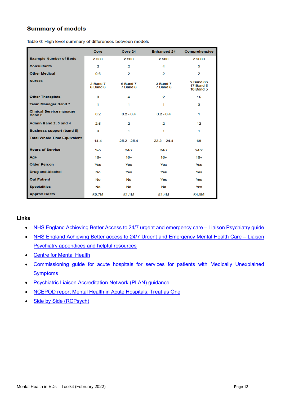#### **Summary of models**

|                                                  | Core                 | Core 24              | <b>Enhanced 24</b>      | Comprehensive                                     |
|--------------------------------------------------|----------------------|----------------------|-------------------------|---------------------------------------------------|
| <b>Example Number of Beds</b>                    | c 500                | c 500                | c 500                   | c 2000                                            |
| <b>Consultants</b>                               | 2                    | 2                    | 4                       | 5                                                 |
| <b>Other Medical</b>                             | 0.6                  | 2                    | 2                       | $\overline{2}$                                    |
| <b>Nurses</b>                                    | 2 Band 7<br>6 Band 6 | 6 Band 7<br>7 Band 6 | 3 Band 7<br>7 Band 6    | 2 Band 8b<br><b>17 Band 6</b><br><b>10 Band 5</b> |
| <b>Other Therapists</b>                          | 0                    | 4                    | $\overline{2}$          | 16                                                |
| <b>Team Manager Band 7</b>                       | 1                    | 1                    | 1                       | 3                                                 |
| <b>Clinical Service manager</b><br><b>Band 8</b> | 0.2                  | $0.2 - 0.4$          | $0.2 - 0.4$             | 1                                                 |
| Admin Band 2, 3 and 4                            | 2.6                  | 2                    | $\overline{\mathbf{2}}$ | 12                                                |
| <b>Business support (band 5)</b>                 | 0                    | 1                    | 1                       | 1                                                 |
| <b>Total Whole Time Equivalent</b>               | 14.4                 | $25.2 - 25.4$        | $22.2 - 24.4$           | 69                                                |
| <b>Hours of Service</b>                          | $9 - 5$              | 24/7                 | 24/7                    | 24/7                                              |
| Age                                              | $16+$                | $16+$                | $16+$                   | $16+$                                             |
| <b>Older Person</b>                              | Yes                  | Yes                  | Yes                     | <b>Yes</b>                                        |
| <b>Drug and Alcohol</b>                          | <b>No</b>            | Yes                  | Yes                     | Yes                                               |
| <b>Out Patient</b>                               | <b>No</b>            | <b>No</b>            | Yes                     | Yes                                               |
| <b>Specialities</b>                              | <b>No</b>            | <b>No</b>            | <b>No</b>               | Yes                                               |
| <b>Approx Costs</b>                              | £0.7M                | £1.1M                | £1.4M                   | £4.5M                                             |

Table 6: High level summary of differences between models

- [NHS England Achieving Better Access to 24/7 urgent and emergency care –](https://www.england.nhs.uk/wp-content/uploads/2016/11/lmhs-guidance.pdf) Liaison Psychiatry guide
- [NHS England Achieving Better access to 24/7 Urgent and Emergency Mental Health Care –](https://www.england.nhs.uk/wp-content/uploads/2016/11/lmhs-helpful-resources.pdf) Liaison [Psychiatry appendices and helpful resources](https://www.england.nhs.uk/wp-content/uploads/2016/11/lmhs-helpful-resources.pdf)
- [Centre for Mental Health](https://www.centreformentalhealth.org.uk/liaison-psychiatry)
- [Commissioning guide for acute hospitals for services for patients with Medically Unexplained](http://www.jcpmh.info/good-services/medically-unexplained-symptoms/)  **[Symptoms](http://www.jcpmh.info/good-services/medically-unexplained-symptoms/)**
- [Psychiatric Liaison Accreditation Network \(PLAN\) guidance](https://www.rcpsych.ac.uk/docs/default-source/improving-care/ccqi/quality-networks/psychiatric-liaison-services-plan/quality-standards-for-liaison-psychiatry-services---sixth-edition-20209b6be47cb0f249f697850e1222d6b6e1.pdf?sfvrsn=1ddd53f2_0)
- [NCEPOD report Mental Health in Acute Hospitals: Treat as One](http://www.ncepod.org.uk/2017mhgh.html)
- [Side by Side \(RCPsych\)](https://www.rcpsych.ac.uk/docs/default-source/members/faculties/liaison-psychiatry/liaison-sidebyside.pdf)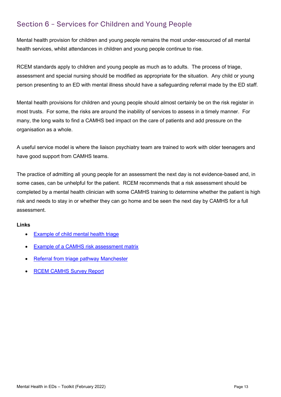## <span id="page-12-0"></span>Section 6 – Services for Children and Young People

Mental health provision for children and young people remains the most under-resourced of all mental health services, whilst attendances in children and young people continue to rise.

RCEM standards apply to children and young people as much as to adults. The process of triage, assessment and special nursing should be modified as appropriate for the situation. Any child or young person presenting to an ED with mental illness should have a safeguarding referral made by the ED staff.

Mental health provisions for children and young people should almost certainly be on the risk register in most trusts. For some, the risks are around the inability of services to assess in a timely manner. For many, the long waits to find a CAMHS bed impact on the care of patients and add pressure on the organisation as a whole.

A useful service model is where the liaison psychiatry team are trained to work with older teenagers and have good support from CAMHS teams.

The practice of admitting all young people for an assessment the next day is not evidence-based and, in some cases, can be unhelpful for the patient. RCEM recommends that a risk assessment should be completed by a mental health clinician with some CAMHS training to determine whether the patient is high risk and needs to stay in or whether they can go home and be seen the next day by CAMHS for a full assessment.

- [Example of child mental health triage](http://login.rcem.ac.uk/docs/MH%20toolkit%20-%20Child%20Mental%20Health%20Triage%20Risk%20Assessment.docx)
- [Example of a CAMHS risk assessment matrix](http://login.rcem.ac.uk/docs/MH%20toolkit%202017/MH%20toolkit%20-%20CAMHS%20Risk%20Assessment%20Triage%20Tool.doc)
- [Referral from triage pathway Manchester](http://login.rcem.ac.uk/docs/RCEM%20Guidance/Manchester%20FT%20CAMHS%20Referral%20Form%202018.docx)
- [RCEM CAMHS Survey Report](https://login.rcem.ac.uk/docs/RCEM%20Guidance/RCEM%20National%20Survey%20on%20CAMHS%20Report%20v3%20final.pdf)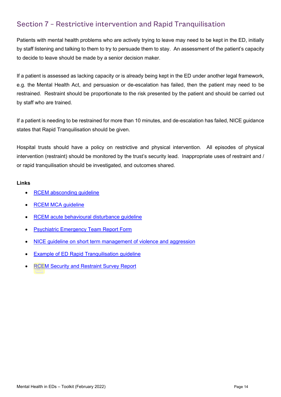## <span id="page-13-0"></span>Section 7 – Restrictive intervention and Rapid Tranquilisation

Patients with mental health problems who are actively trying to leave may need to be kept in the ED, initially by staff listening and talking to them to try to persuade them to stay. An assessment of the patient's capacity to decide to leave should be made by a senior decision maker.

If a patient is assessed as lacking capacity or is already being kept in the ED under another legal framework, e.g. the Mental Health Act, and persuasion or de-escalation has failed, then the patient may need to be restrained. Restraint should be proportionate to the risk presented by the patient and should be carried out by staff who are trained.

If a patient is needing to be restrained for more than 10 minutes, and de-escalation has failed, NICE guidance states that Rapid Tranquilisation should be given.

Hospital trusts should have a policy on restrictive and physical intervention. All episodes of physical intervention (restraint) should be monitored by the trust's security lead. Inappropriate uses of restraint and / or rapid tranquilisation should be investigated, and outcomes shared.

- [RCEM absconding guideline](https://login.rcem.ac.uk/docs/RCEM%20Guidance/RCEM%20Absconding%20Guidance%20v2.pdf)
- **[RCEM MCA guideline](https://login.rcem.ac.uk/docs/RCEM%20Guidance/RCEM%20Mental%20Capacity%20Act%20in%20EM%20Practice%20-%20Feb%202017.pdf)**
- [RCEM acute behavioural disturbance guideline](https://login.rcem.ac.uk/docs/College%20Guidelines/5p.%20RCEM%20guidelines%20for%20management%20of%20Acute%20Behavioural%20Disturbance%20(May%202016).pdf)
- [Psychiatric Emergency Team Report Form](http://login.rcem.ac.uk/docs/MDT%20Psych%20Emergency%20Team%20Form%20Charing%20cross.pdf)
- [NICE guideline on short term management of violence and aggression](https://www.nice.org.uk/guidance/NG10)
- [Example of ED Rapid Tranquilisation guideline](http://login.rcem.ac.uk/docs/RCEM%20Guidance/Raid%20Tranquilisatision%20example%20of%20ED%20guideline,%20Cambridge.docx)
- [RCEM Security and Restraint Survey Report](https://login.rcem.ac.uk/docs/RCEM_Security_and_Restraint_survey_report_%20FINAL_100321.pdf)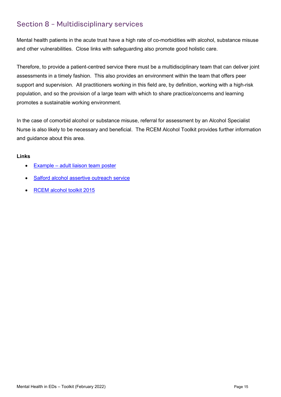## <span id="page-14-0"></span>Section 8 – Multidisciplinary services

Mental health patients in the acute trust have a high rate of co-morbidities with alcohol, substance misuse and other vulnerabilities. Close links with safeguarding also promote good holistic care.

Therefore, to provide a patient-centred service there must be a multidisciplinary team that can deliver joint assessments in a timely fashion. This also provides an environment within the team that offers peer support and supervision. All practitioners working in this field are, by definition, working with a high-risk population, and so the provision of a large team with which to share practice/concerns and learning promotes a sustainable working environment.

In the case of comorbid alcohol or substance misuse, referral for assessment by an Alcohol Specialist Nurse is also likely to be necessary and beneficial. The RCEM Alcohol Toolkit provides further information and guidance about this area.

- **Example [adult liaison team poster](http://login.rcem.ac.uk/docs/MH%20toolkit%202017/Example%20adult%20MH%20liaison%20team%20poster.pdf)**
- [Salford alcohol assertive outreach service](http://fg.bmj.com/content/early/2013/01/22/flgastro-2012-100260.full.pdf)
- [RCEM alcohol toolkit 2015](https://login.rcem.ac.uk/docs/College%20Guidelines/5z24.%20Alcohol%20toolkit%20(June%202015).pdf)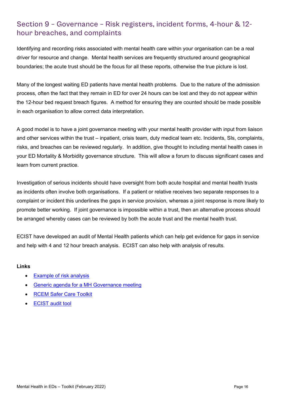## <span id="page-15-0"></span>Section 9 – Governance – Risk registers, incident forms, 4-hour & 12 hour breaches, and complaints

Identifying and recording risks associated with mental health care within your organisation can be a real driver for resource and change. Mental health services are frequently structured around geographical boundaries; the acute trust should be the focus for all these reports, otherwise the true picture is lost.

Many of the longest waiting ED patients have mental health problems. Due to the nature of the admission process, often the fact that they remain in ED for over 24 hours can be lost and they do not appear within the 12-hour bed request breach figures. A method for ensuring they are counted should be made possible in each organisation to allow correct data interpretation.

A good model is to have a joint governance meeting with your mental health provider with input from liaison and other services within the trust – inpatient, crisis team, duty medical team etc. Incidents, SIs, complaints, risks, and breaches can be reviewed regularly. In addition, give thought to including mental health cases in your ED Mortality & Morbidity governance structure. This will allow a forum to discuss significant cases and learn from current practice.

Investigation of serious incidents should have oversight from both acute hospital and mental health trusts as incidents often involve both organisations. If a patient or relative receives two separate responses to a complaint or incident this underlines the gaps in service provision, whereas a joint response is more likely to promote better working. If joint governance is impossible within a trust, then an alternative process should be arranged whereby cases can be reviewed by both the acute trust and the mental health trust.

ECIST have developed an audit of Mental Health patients which can help get evidence for gaps in service and help with 4 and 12 hour breach analysis. ECIST can also help with analysis of results.

- [Example of risk analysis](http://login.rcem.ac.uk/docs/Example%20of%20Risk%20Register.xlsx)
- [Generic agenda for a MH Governance meeting](http://login.rcem.ac.uk/docs/MH%20toolkit%202017/MH%20toolkit-Generic%20Agenda%20for%20Mental%20Health%20Governance%20Meeting.docx)
- RCEM Safer Care Toolkit
- [ECIST audit tool](http://login.rcem.ac.uk/docs/ECIP%20MH%20deep%20Dive%20MH%20AUDIT%20TOOL%20V2.2%20Blank.xlsx)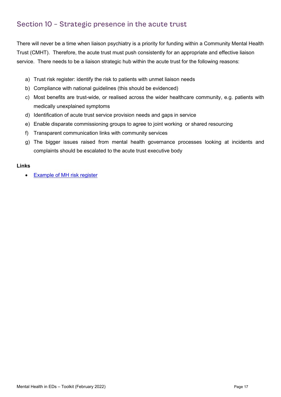## <span id="page-16-0"></span>Section 10 – Strategic presence in the acute trust

There will never be a time when liaison psychiatry is a priority for funding within a Community Mental Health Trust (CMHT). Therefore, the acute trust must push consistently for an appropriate and effective liaison service. There needs to be a liaison strategic hub within the acute trust for the following reasons:

- a) Trust risk register: identify the risk to patients with unmet liaison needs
- b) Compliance with national guidelines (this should be evidenced)
- c) Most benefits are trust-wide, or realised across the wider healthcare community, e.g. patients with medically unexplained symptoms
- d) Identification of acute trust service provision needs and gaps in service
- e) Enable disparate commissioning groups to agree to joint working or shared resourcing
- f) Transparent communication links with community services
- g) The bigger issues raised from mental health governance processes looking at incidents and complaints should be escalated to the acute trust executive body

#### **Links**

• [Example of MH risk register](http://login.rcem.ac.uk/docs/MH%20toolkit%202017/MH%20toolkit%20-%20Example%20of%20Risk%20Register.xlsx)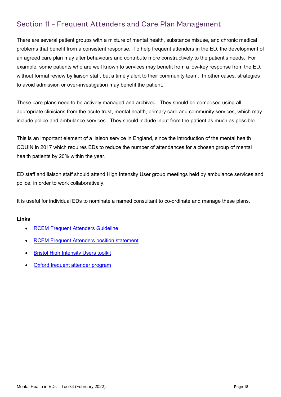## <span id="page-17-0"></span>Section 11 – Frequent Attenders and Care Plan Management

There are several patient groups with a mixture of mental health, substance misuse, and chronic medical problems that benefit from a consistent response. To help frequent attenders in the ED, the development of an agreed care plan may alter behaviours and contribute more constructively to the patient's needs. For example, some patients who are well known to services may benefit from a low-key response from the ED, without formal review by liaison staff, but a timely alert to their community team. In other cases, strategies to avoid admission or over-investigation may benefit the patient.

These care plans need to be actively managed and archived. They should be composed using all appropriate clinicians from the acute trust, mental health, primary care and community services, which may include police and ambulance services. They should include input from the patient as much as possible.

This is an important element of a liaison service in England, since the introduction of the mental health CQUIN in 2017 which requires EDs to reduce the number of attendances for a chosen group of mental health patients by 20% within the year.

ED staff and liaison staff should attend High Intensity User group meetings held by ambulance services and police, in order to work collaboratively.

It is useful for individual EDs to nominate a named consultant to co-ordinate and manage these plans.

- [RCEM Frequent Attenders Guideline](http://login.rcem.ac.uk/docs/RCEM%20Guidance/Guideline%20-%20Frequent%20Attenders%20in%20the%20ED%20(Aug%202017).pdf)
- [RCEM Frequent Attenders position statement](http://login.rcem.ac.uk/docs/RCEM%20Guidance/RCEM%20Frequent%20Attenders%20CQUIN%20statement%20(Aug%202017).pdf)
- **[Bristol High Intensity Users toolkit](https://solutions.hsj.co.uk/story.aspx?storyCode=7019514&preview=1&hash=473B8267849A003FC1270EE4FB90BC7D)**
- [Oxford frequent attender program](https://www.ouh.nhs.uk/news/article.aspx?id=779)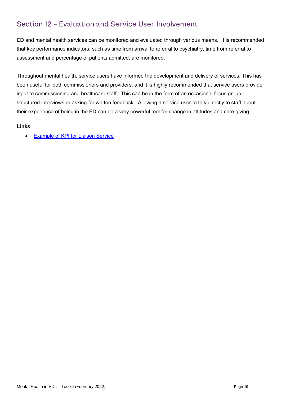## <span id="page-18-0"></span>Section 12 – Evaluation and Service User Involvement

ED and mental health services can be monitored and evaluated through various means. It is recommended that key performance indicators, such as time from arrival to referral to psychiatry, time from referral to assessment and percentage of patients admitted, are monitored.

Throughout mental health, service users have informed the development and delivery of services. This has been useful for both commissioners and providers, and it is highly recommended that service users provide input to commissioning and healthcare staff. This can be in the form of an occasional focus group, structured interviews or asking for written feedback. Allowing a service user to talk directly to staff about their experience of being in the ED can be a very powerful tool for change in attitudes and care giving.

#### **Links**

• [Example of KPI for Liaison Service](http://login.rcem.ac.uk/docs/MH%20toolkit%202017/MH%20toolkit%20-%20Examples%20of%20KPI%20reporting.docx)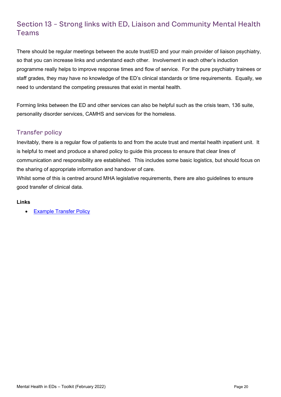## <span id="page-19-0"></span>Section 13 – Strong links with ED, Liaison and Community Mental Health Teams

There should be regular meetings between the acute trust/ED and your main provider of liaison psychiatry, so that you can increase links and understand each other. Involvement in each other's induction programme really helps to improve response times and flow of service. For the pure psychiatry trainees or staff grades, they may have no knowledge of the ED's clinical standards or time requirements. Equally, we need to understand the competing pressures that exist in mental health.

Forming links between the ED and other services can also be helpful such as the crisis team, 136 suite, personality disorder services, CAMHS and services for the homeless.

#### <span id="page-19-1"></span>Transfer policy

Inevitably, there is a regular flow of patients to and from the acute trust and mental health inpatient unit. It is helpful to meet and produce a shared policy to guide this process to ensure that clear lines of communication and responsibility are established. This includes some basic logistics, but should focus on the sharing of appropriate information and handover of care.

Whilst some of this is centred around MHA legislative requirements, there are also guidelines to ensure good transfer of clinical data.

#### **Links**

• [Example Transfer Policy](http://login.rcem.ac.uk/docs/MH%20toolkit%202017/MH%20toolkit%20-%20Transfer%20of%20Detained%20Patients%20to%20Acute%20Hospitals%20Pathway.docx)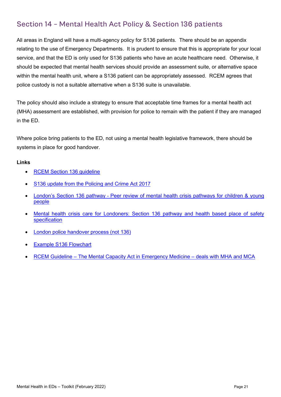## <span id="page-20-0"></span>Section 14 – Mental Health Act Policy & Section 136 patients

All areas in England will have a multi-agency policy for S136 patients. There should be an appendix relating to the use of Emergency Departments. It is prudent to ensure that this is appropriate for your local service, and that the ED is only used for S136 patients who have an acute healthcare need. Otherwise, it should be expected that mental health services should provide an assessment suite, or alternative space within the mental health unit, where a S136 patient can be appropriately assessed. RCEM agrees that police custody is not a suitable alternative when a S136 suite is unavailable.

The policy should also include a strategy to ensure that acceptable time frames for a mental health act (MHA) assessment are established, with provision for police to remain with the patient if they are managed in the ED.

Where police bring patients to the ED, not using a mental health legislative framework, there should be systems in place for good handover.

- [RCEM Section 136 guideline](http://login.rcem.ac.uk/docs/College%20Guidelines/A%20brief%20guide%20to%20Section%20136%20for%20Emergency%20Departments%20-%20Dec%202017.pdf)
- [S136 update from the Policing and Crime Act 2017](http://www.rcpsych.ac.uk/policyandparliamentary/changestos135and136mha.aspx)
- [London's Section 136 pathway](https://www.healthylondon.org/resource/peer-review-mental-health-crisis-pathways-children-young-people/) Peer review of mental health crisis pathways for children & young people
- [Mental health crisis care for Londoners: Section 136 pathway and health based place of safety](https://www.healthylondon.org/resource/mental-health-crisis-care-londoners/)  [specification](https://www.healthylondon.org/resource/mental-health-crisis-care-londoners/)
- [London police handover process \(not 136\)](https://www.healthylondon.org/resource/case-study-londons-mental-health-handover-form/)
- [Example S136 Flowchart](http://login.rcem.ac.uk/docs/MH%20toolkit%202017/MH%20toolkit%20-%20S136%20flow%20chart%20generic.docx)
- RCEM Guideline [The Mental Capacity Act in Emergency Medicine –](http://login.rcem.ac.uk/docs/RCEM%20Guidance/RCEM%20Mental%20Capacity%20Act%20in%20EM%20Practice%20-%20Feb%202017.pdf) deals with MHA and MCA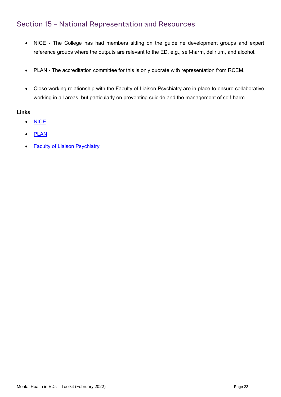## <span id="page-21-0"></span>Section 15 – National Representation and Resources

- NICE The College has had members sitting on the guideline development groups and expert reference groups where the outputs are relevant to the ED, e.g., self-harm, delirium, and alcohol.
- PLAN The accreditation committee for this is only quorate with representation from RCEM.
- Close working relationship with the Faculty of Liaison Psychiatry are in place to ensure collaborative working in all areas, but particularly on preventing suicide and the management of self-harm.

- [NICE](http://www.nice.org.uk/)
- [PLAN](http://www.rcpsych.ac.uk/workinpsychiatry/qualityimprovement/qualityandaccreditation/liaisonpsychiatry/plan.aspx)
- **[Faculty of Liaison Psychiatry](http://www.rcpsych.ac.uk/college/faculties/liaison.aspx)**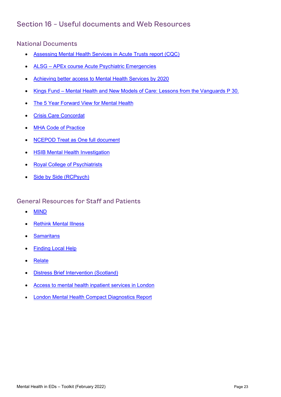## <span id="page-22-0"></span>Section 16 – Useful documents and Web Resources

<span id="page-22-1"></span>National Documents

- [Assessing Mental Health Services in Acute Trusts report \(CQC\)](https://www.cqc.org.uk/sites/default/files/20201016b_AMSAT_report.pdf)
- ALSG [APEx course Acute Psychiatric Emergencies](https://www.alsg.org/en/files/XFactsheet.pdf)
- [Achieving better access to Mental Health Services by 2020](https://www.gov.uk/government/publications/mental-health-services-achieving-better-access-by-2020)
- Kings Fund [Mental Health and New Models of Care: Lessons from the Vanguards](https://www.kingsfund.org.uk/publications/mental-health-new-care-models) P 30.
- [The 5 Year Forward View for Mental Health](https://www.england.nhs.uk/wp-content/uploads/2016/02/Mental-Health-Taskforce-FYFV-final.pdf)
- [Crisis Care Concordat](http://www.crisiscareconcordat.org.uk/)
- [MHA Code of Practice](http://login.rcem.ac.uk/docs/MH%20toolkit%202017/MH%20toolkit%20-%20MHA%20Code%20of%20Practice.pdf)
- [NCEPOD Treat as One full document](http://login.rcem.ac.uk/docs/MH%20toolkit%202017/MH%20toolkit%20-%20TreatAsOne_FullReport.pdf)
- [HSIB Mental Health Investigation](https://www.hsib.org.uk/news/hsib-national-report-reinforces-need-247-emergency-mental-health-care/)
- [Royal College of Psychiatrists](http://www.rcpsych.ac.uk/)
- [Side by Side \(RCPsych\)](https://www.rcpsych.ac.uk/docs/default-source/members/faculties/liaison-psychiatry/liaison-sidebyside.pdf)

#### <span id="page-22-2"></span>General Resources for Staff and Patients

- [MIND](https://www.mind.org.uk/)
- [Rethink Mental Illness](https://www.rethink.org/)
- [Samaritans](https://www.samaritans.org/)
- **[Finding Local Help](http://www.hubofhope.co.uk/)**
- **[Relate](https://www.relate.org.uk/)**
- [Distress Brief Intervention](https://www.dbi.scot/general/distress-brief-intervention-programme-overview/) (Scotland)
- [Access to mental health inpatient services in London](https://login.rcem.ac.uk/docs/London%20Mental%20Health%20Compact_June2019.pdf)
- [London Mental Health Compact Diagnostics Report](http://login.rcem.ac.uk/docs/London%20MH%20Compact%20diagnostics%20report.pdf)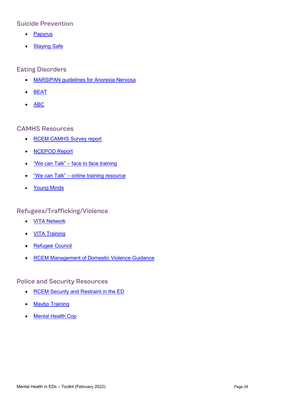#### <span id="page-23-0"></span>Suicide Prevention

- [Papyrus](https://www.papyrus-uk.org/)
- [Staying Safe](https://www.stayingsafe.net/)

#### <span id="page-23-1"></span>Eating Disorders

- [MARSIPAN guidelines for Anorexia Nervosa](http://login.rcem.ac.uk/docs/Clinical%20Standards%20and%20Guidance/Education%20board%20slides_marsipan.pdf)
- [BEAT](https://www.beateatingdisorders.org.uk/)
- [ABC](https://www.anorexiabulimiacare.org.uk/)

#### <span id="page-23-2"></span>CAMHS Resources

- [RCEM CAMHS Survey report](https://login.rcem.ac.uk/docs/RCEM%20Guidance/RCEM%20National%20Survey%20on%20CAMHS%20Report%20v3%20final.pdf)
- [NCEPOD Report](https://www.ncepod.org.uk/2019ypmh.html)
- "We can Talk" [face to face training](https://wecantalk.online/)
- "We can Talk" [online training resource](https://wecantalk.online/online/)
- [Young Minds](https://youngminds.org.uk/)

## <span id="page-23-3"></span>Refugees/Trafficking/Violence

- [VITA Network](http://www.vita-network.com/)
- [VITA Training](http://www.vita-training.com/)
- [Refugee Council](https://www.refugeecouncil.org.uk/)
- [RCEM Management of Domestic Violence Guidance](https://login.rcem.ac.uk/docs/College%20Guidelines/5t.%20Management%20of%20Domestic%20Abuse%20(March%202015).pdf)

#### <span id="page-23-4"></span>Police and Security Resources

- [RCEM Security and Restraint in the ED](https://login.rcem.ac.uk/docs/RCEM%20Guidance/RCEM%20Security%20and%20Restraint%20survey%20report%20FINAL%2010.03.21.pdf)
- [Maybo Training](https://www.maybo.com/training/healthcare/hospitals/)
- [Mental Health Cop](https://mentalhealthcop.wordpress.com/2012/05/17/quick-guide-rave-risks/)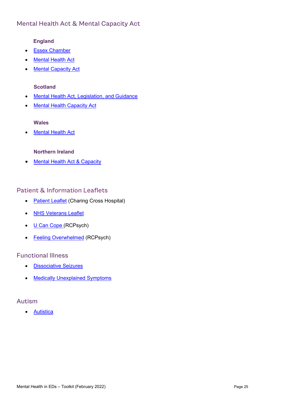## <span id="page-24-0"></span>Mental Health Act & Mental Capacity Act

#### **England**

- [Essex Chamber](https://www.mentalcapacitylawandpolicy.org.uk/)
- **[Mental Health Act](https://www.gov.uk/government/publications/code-of-practice-mental-health-act-1983)**
- [Mental Capacity Act](https://www.gov.uk/government/publications/mental-capacity-act-code-of-practice)

#### **Scotland**

- [Mental Health Act, Legislation, and Guidance](https://www.gov.scot/policies/mental-health/legislation-and-guidance/)
- [Mental Health Capacity Act](https://www.gov.scot/publications/adults-incapacity-scotland-act-2000-code-practice-third-edition-practitioners-authorised-carry-out-medical-treatment-research-under-part-5-act/)

#### **Wales**

• [Mental Health Act](https://gov.wales/sites/default/files/publications/2019-03/mental-health-act-1983-code-of-practice-mental-health-act-1983-for-wales-review-revised-2016.pdf)

#### **Northern Ireland**

• [Mental Health Act & Capacity](https://www.ncbi.nlm.nih.gov/pmc/articles/PMC7306743/)

#### <span id="page-24-1"></span>Patient & Information Leaflets

- [Patient Leaflet](http://login.rcem.ac.uk/docs/CXH%20Patient%20Leaflet%20for%20mental%20health.pdf) (Charing Cross Hospital)
- [NHS Veterans Leaflet](http://login.rcem.ac.uk/docs/NHS%20Veterans)
- [U Can Cope \(](https://www.rcpsych.ac.uk/mental-health/parents-and-young-people/young-people/u-can-cope!-how-to-cope-when-life-is-difficult-for-young-people)RCPsych)
- [Feeling Overwhelmed](https://www.rcpsych.ac.uk/mental-health/problems-disorders/feeling-overwhelmed) (RCPsych)

#### <span id="page-24-2"></span>Functional Illness

- [Dissociative Seizures](http://nonepilepticattacks.info/)
- [Medically Unexplained Symptoms](http://neurosymptoms.org/)

#### <span id="page-24-3"></span>Autism

• [Autistica](https://www.autistica.org.uk/)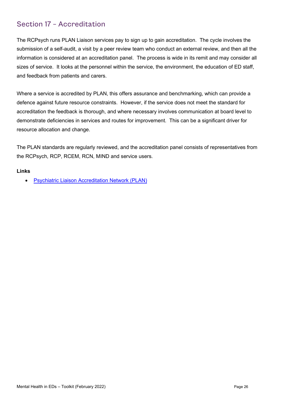## <span id="page-25-0"></span>Section 17 – Accreditation

The RCPsych runs PLAN Liaison services pay to sign up to gain accreditation. The cycle involves the submission of a self-audit, a visit by a peer review team who conduct an external review, and then all the information is considered at an accreditation panel. The process is wide in its remit and may consider all sizes of service. It looks at the personnel within the service, the environment, the education of ED staff, and feedback from patients and carers.

Where a service is accredited by PLAN, this offers assurance and benchmarking, which can provide a defence against future resource constraints. However, if the service does not meet the standard for accreditation the feedback is thorough, and where necessary involves communication at board level to demonstrate deficiencies in services and routes for improvement. This can be a significant driver for resource allocation and change.

The PLAN standards are regularly reviewed, and the accreditation panel consists of representatives from the RCPsych, RCP, RCEM, RCN, MIND and service users.

#### **Links**

• [Psychiatric Liaison Accreditation Network \(PLAN\)](http://www.rcpsych.ac.uk/workinpsychiatry/qualityimprovement/qualityandaccreditation/liaisonpsychiatry/plan.aspx)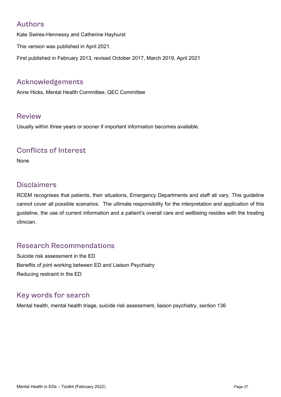## <span id="page-26-0"></span>Authors

Kate Swires-Hennessy and Catherine Hayhurst

This version was published in April 2021.

First published in February 2013, revised October 2017, March 2019, April 2021

## <span id="page-26-1"></span>Acknowledgements

Anne Hicks, Mental Health Committee, QEC Committee

## <span id="page-26-2"></span>Review

Usually within three years or sooner if important information becomes available.

## <span id="page-26-3"></span>Conflicts of Interest

None

## <span id="page-26-4"></span>**Disclaimers**

RCEM recognises that patients, their situations, Emergency Departments and staff all vary. This guideline cannot cover all possible scenarios. The ultimate responsibility for the interpretation and application of this guideline, the use of current information and a patient's overall care and wellbeing resides with the treating clinician.

## <span id="page-26-5"></span>Research Recommendations

Suicide risk assessment in the ED Benefits of joint working between ED and Liaison Psychiatry Reducing restraint in the ED

## <span id="page-26-6"></span>Key words for search

Mental health, mental health triage, suicide risk assessment, liaison psychiatry, section 136